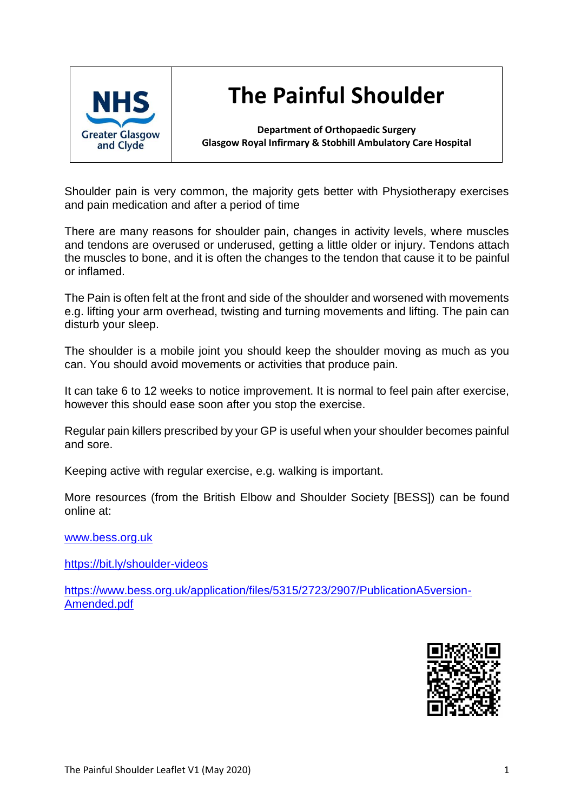

# **The Painful Shoulder**

**Department of Orthopaedic Surgery Glasgow Royal Infirmary & Stobhill Ambulatory Care Hospital**

Shoulder pain is very common, the majority gets better with Physiotherapy exercises and pain medication and after a period of time

There are many reasons for shoulder pain, changes in activity levels, where muscles and tendons are overused or underused, getting a little older or injury. Tendons attach the muscles to bone, and it is often the changes to the tendon that cause it to be painful or inflamed.

The Pain is often felt at the front and side of the shoulder and worsened with movements e.g. lifting your arm overhead, twisting and turning movements and lifting. The pain can disturb your sleep.

The shoulder is a mobile joint you should keep the shoulder moving as much as you can. You should avoid movements or activities that produce pain.

It can take 6 to 12 weeks to notice improvement. It is normal to feel pain after exercise, however this should ease soon after you stop the exercise.

Regular pain killers prescribed by your GP is useful when your shoulder becomes painful and sore.

Keeping active with regular exercise, e.g. walking is important.

More resources (from the British Elbow and Shoulder Society [BESS]) can be found online at:

[www.bess.org.uk](http://www.bess.org.uk/)

<https://bit.ly/shoulder-videos>

[https://www.bess.org.uk/application/files/5315/2723/2907/PublicationA5version-](https://www.bess.org.uk/application/files/5315/2723/2907/PublicationA5version-Amended.pdf)[Amended.pdf](https://www.bess.org.uk/application/files/5315/2723/2907/PublicationA5version-Amended.pdf)

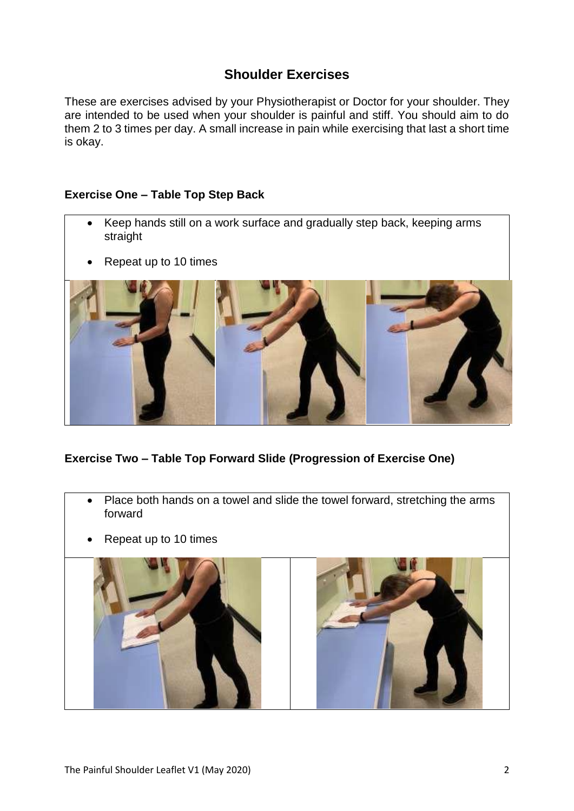# **Shoulder Exercises**

These are exercises advised by your Physiotherapist or Doctor for your shoulder. They are intended to be used when your shoulder is painful and stiff. You should aim to do them 2 to 3 times per day. A small increase in pain while exercising that last a short time is okay.

## **Exercise One – Table Top Step Back**

- Keep hands still on a work surface and gradually step back, keeping arms straight
- Repeat up to 10 times



# **Exercise Two – Table Top Forward Slide (Progression of Exercise One)**

- Place both hands on a towel and slide the towel forward, stretching the arms forward
- Repeat up to 10 times

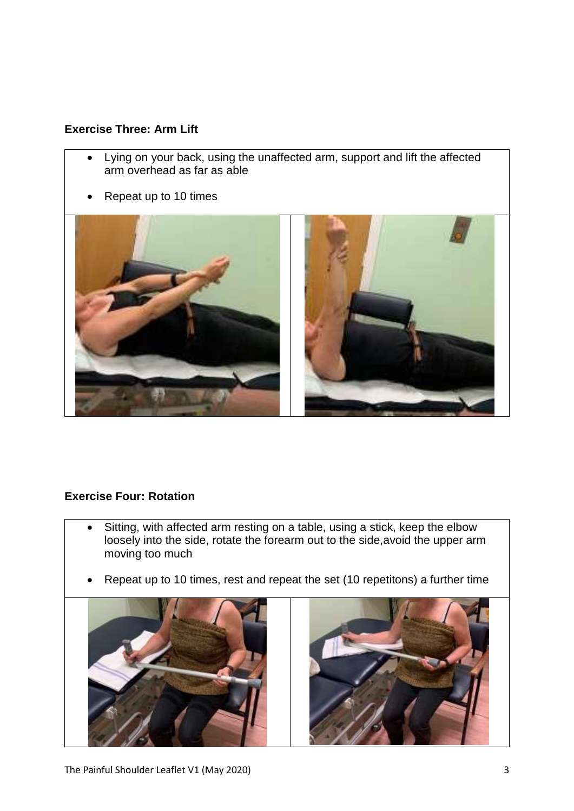# **Exercise Three: Arm Lift**

- Lying on your back, using the unaffected arm, support and lift the affected arm overhead as far as able
- Repeat up to 10 times



#### **Exercise Four: Rotation**

- Sitting, with affected arm resting on a table, using a stick, keep the elbow loosely into the side, rotate the forearm out to the side,avoid the upper arm moving too much
- Repeat up to 10 times, rest and repeat the set (10 repetitons) a further time